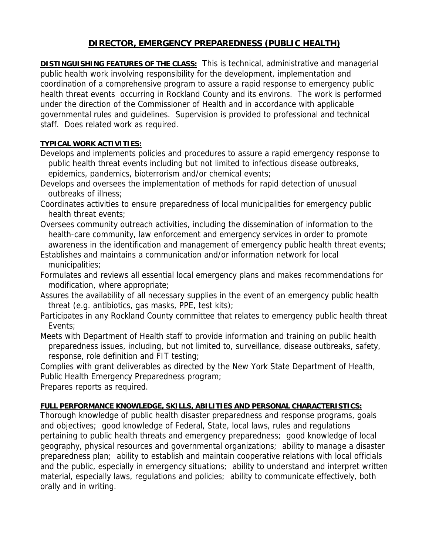## **DIRECTOR, EMERGENCY PREPAREDNESS (PUBLIC HEALTH)**

**DISTINGUISHING FEATURES OF THE CLASS:** This is technical, administrative and managerial public health work involving responsibility for the development, implementation and coordination of a comprehensive program to assure a rapid response to emergency public health threat events occurring in Rockland County and its environs. The work is performed under the direction of the Commissioner of Health and in accordance with applicable governmental rules and guidelines. Supervision is provided to professional and technical staff. Does related work as required.

## **TYPICAL WORK ACTIVITIES:**

- Develops and implements policies and procedures to assure a rapid emergency response to public health threat events including but not limited to infectious disease outbreaks, epidemics, pandemics, bioterrorism and/or chemical events;
- Develops and oversees the implementation of methods for rapid detection of unusual outbreaks of illness;
- Coordinates activities to ensure preparedness of local municipalities for emergency public health threat events;
- Oversees community outreach activities, including the dissemination of information to the health-care community, law enforcement and emergency services in order to promote awareness in the identification and management of emergency public health threat events;
- Establishes and maintains a communication and/or information network for local municipalities;
- Formulates and reviews all essential local emergency plans and makes recommendations for modification, where appropriate;
- Assures the availability of all necessary supplies in the event of an emergency public health threat (e.g. antibiotics, gas masks, PPE, test kits);
- Participates in any Rockland County committee that relates to emergency public health threat Events;
- Meets with Department of Health staff to provide information and training on public health preparedness issues, including, but not limited to, surveillance, disease outbreaks, safety, response, role definition and FIT testing;
- Complies with grant deliverables as directed by the New York State Department of Health, Public Health Emergency Preparedness program;

Prepares reports as required.

## **FULL PERFORMANCE KNOWLEDGE, SKILLS, ABILITIES AND PERSONAL CHARACTERISTICS:**

Thorough knowledge of public health disaster preparedness and response programs, goals and objectives; good knowledge of Federal, State, local laws, rules and regulations pertaining to public health threats and emergency preparedness; good knowledge of local geography, physical resources and governmental organizations; ability to manage a disaster preparedness plan; ability to establish and maintain cooperative relations with local officials and the public, especially in emergency situations; ability to understand and interpret written material, especially laws, regulations and policies; ability to communicate effectively, both orally and in writing.